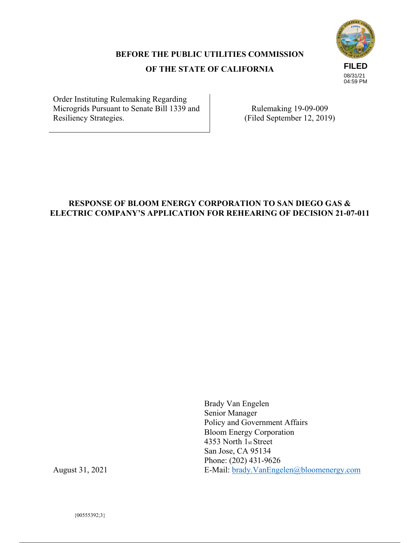# **FILED** 08/31/21 04:59 PM

#### **BEFORE THE PUBLIC UTILITIES COMMISSION**

#### **OF THE STATE OF CALIFORNIA**

Order Instituting Rulemaking Regarding Microgrids Pursuant to Senate Bill 1339 and Resiliency Strategies.

Rulemaking 19-09-009 (Filed September 12, 2019)

#### **RESPONSE OF BLOOM ENERGY CORPORATION TO SAN DIEGO GAS & ELECTRIC COMPANY'S APPLICATION FOR REHEARING OF DECISION 21-07-011**

Brady Van Engelen Senior Manager Policy and Government Affairs Bloom Energy Corporation 4353 North 1st Street San Jose, CA 95134 Phone: (202) 431-9626 E-Mail: brady.VanEngelen@bloomenergy.com

August 31, 2021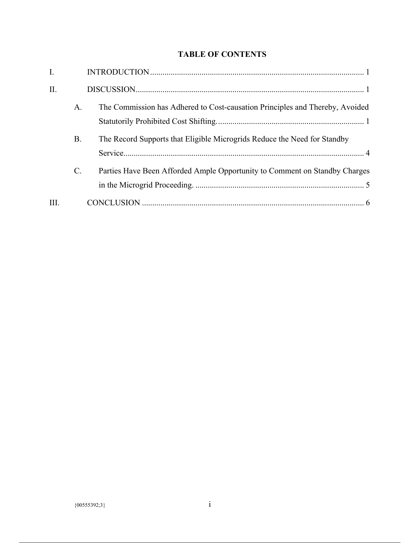### **TABLE OF CONTENTS**

| I.   |           |                                                                              |
|------|-----------|------------------------------------------------------------------------------|
| II.  |           |                                                                              |
|      | A.        | The Commission has Adhered to Cost-causation Principles and Thereby, Avoided |
|      | <b>B.</b> | The Record Supports that Eligible Microgrids Reduce the Need for Standby     |
|      | $C$ .     | Parties Have Been Afforded Ample Opportunity to Comment on Standby Charges   |
| III. |           |                                                                              |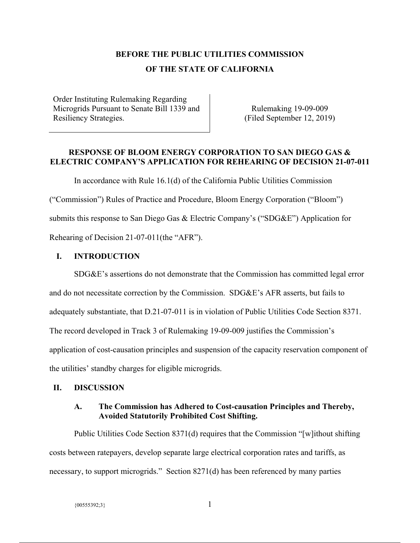## **BEFORE THE PUBLIC UTILITIES COMMISSION OF THE STATE OF CALIFORNIA**

Order Instituting Rulemaking Regarding Microgrids Pursuant to Senate Bill 1339 and Resiliency Strategies.

Rulemaking 19-09-009 (Filed September 12, 2019)

#### **RESPONSE OF BLOOM ENERGY CORPORATION TO SAN DIEGO GAS & ELECTRIC COMPANY'S APPLICATION FOR REHEARING OF DECISION 21-07-011**

In accordance with Rule 16.1(d) of the California Public Utilities Commission

("Commission") Rules of Practice and Procedure, Bloom Energy Corporation ("Bloom")

submits this response to San Diego Gas & Electric Company's ("SDG&E") Application for

Rehearing of Decision 21-07-011(the "AFR").

#### **I. INTRODUCTION**

SDG&E's assertions do not demonstrate that the Commission has committed legal error and do not necessitate correction by the Commission. SDG&E's AFR asserts, but fails to adequately substantiate, that D.21-07-011 is in violation of Public Utilities Code Section 8371. The record developed in Track 3 of Rulemaking 19-09-009 justifies the Commission's application of cost-causation principles and suspension of the capacity reservation component of the utilities' standby charges for eligible microgrids.

#### **II. DISCUSSION**

#### **A. The Commission has Adhered to Cost-causation Principles and Thereby, Avoided Statutorily Prohibited Cost Shifting.**

Public Utilities Code Section 8371(d) requires that the Commission "[w]ithout shifting costs between ratepayers, develop separate large electrical corporation rates and tariffs, as necessary, to support microgrids." Section 8271(d) has been referenced by many parties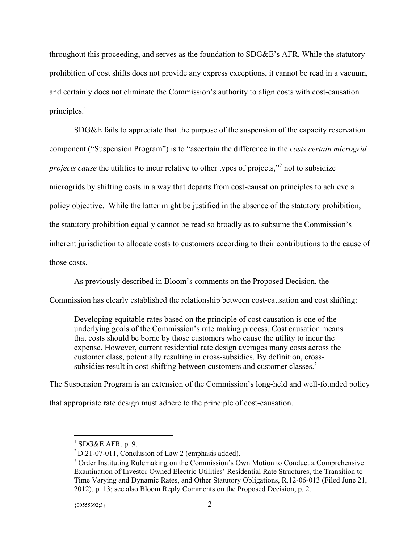throughout this proceeding, and serves as the foundation to SDG&E's AFR. While the statutory prohibition of cost shifts does not provide any express exceptions, it cannot be read in a vacuum, and certainly does not eliminate the Commission's authority to align costs with cost-causation principles. $<sup>1</sup>$ </sup>

SDG&E fails to appreciate that the purpose of the suspension of the capacity reservation component ("Suspension Program") is to "ascertain the difference in the *costs certain microgrid projects cause* the utilities to incur relative to other types of projects,"2 not to subsidize microgrids by shifting costs in a way that departs from cost-causation principles to achieve a policy objective. While the latter might be justified in the absence of the statutory prohibition, the statutory prohibition equally cannot be read so broadly as to subsume the Commission's inherent jurisdiction to allocate costs to customers according to their contributions to the cause of those costs.

As previously described in Bloom's comments on the Proposed Decision, the

Commission has clearly established the relationship between cost-causation and cost shifting:

Developing equitable rates based on the principle of cost causation is one of the underlying goals of the Commission's rate making process. Cost causation means that costs should be borne by those customers who cause the utility to incur the expense. However, current residential rate design averages many costs across the customer class, potentially resulting in cross-subsidies. By definition, crosssubsidies result in cost-shifting between customers and customer classes.<sup>3</sup>

The Suspension Program is an extension of the Commission's long-held and well-founded policy

that appropriate rate design must adhere to the principle of cost-causation.

 $1$  SDG&E AFR, p. 9.

 $2$  D.21-07-011, Conclusion of Law 2 (emphasis added).

<sup>&</sup>lt;sup>3</sup> Order Instituting Rulemaking on the Commission's Own Motion to Conduct a Comprehensive Examination of Investor Owned Electric Utilities' Residential Rate Structures, the Transition to Time Varying and Dynamic Rates, and Other Statutory Obligations, R.12-06-013 (Filed June 21, 2012), p. 13; see also Bloom Reply Comments on the Proposed Decision, p. 2.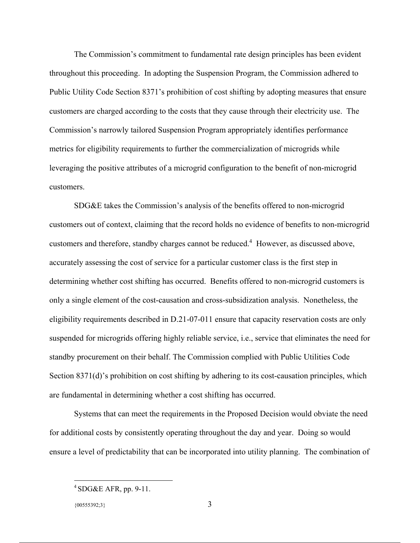The Commission's commitment to fundamental rate design principles has been evident throughout this proceeding. In adopting the Suspension Program, the Commission adhered to Public Utility Code Section 8371's prohibition of cost shifting by adopting measures that ensure customers are charged according to the costs that they cause through their electricity use. The Commission's narrowly tailored Suspension Program appropriately identifies performance metrics for eligibility requirements to further the commercialization of microgrids while leveraging the positive attributes of a microgrid configuration to the benefit of non-microgrid customers.

SDG&E takes the Commission's analysis of the benefits offered to non-microgrid customers out of context, claiming that the record holds no evidence of benefits to non-microgrid customers and therefore, standby charges cannot be reduced.<sup>4</sup> However, as discussed above, accurately assessing the cost of service for a particular customer class is the first step in determining whether cost shifting has occurred. Benefits offered to non-microgrid customers is only a single element of the cost-causation and cross-subsidization analysis. Nonetheless, the eligibility requirements described in D.21-07-011 ensure that capacity reservation costs are only suspended for microgrids offering highly reliable service, i.e., service that eliminates the need for standby procurement on their behalf. The Commission complied with Public Utilities Code Section 8371(d)'s prohibition on cost shifting by adhering to its cost-causation principles, which are fundamental in determining whether a cost shifting has occurred.

Systems that can meet the requirements in the Proposed Decision would obviate the need for additional costs by consistently operating throughout the day and year. Doing so would ensure a level of predictability that can be incorporated into utility planning. The combination of

 $4$  SDG&E AFR, pp. 9-11.

 ${00555392;3}$  3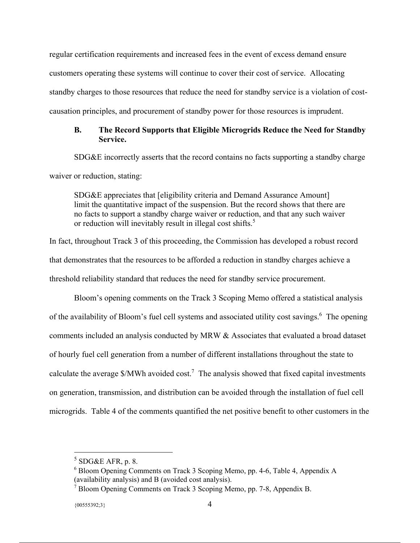regular certification requirements and increased fees in the event of excess demand ensure customers operating these systems will continue to cover their cost of service. Allocating standby charges to those resources that reduce the need for standby service is a violation of costcausation principles, and procurement of standby power for those resources is imprudent.

#### **B. The Record Supports that Eligible Microgrids Reduce the Need for Standby Service.**

SDG&E incorrectly asserts that the record contains no facts supporting a standby charge waiver or reduction, stating:

SDG&E appreciates that [eligibility criteria and Demand Assurance Amount] limit the quantitative impact of the suspension. But the record shows that there are no facts to support a standby charge waiver or reduction, and that any such waiver or reduction will inevitably result in illegal cost shifts.<sup>5</sup>

In fact, throughout Track 3 of this proceeding, the Commission has developed a robust record that demonstrates that the resources to be afforded a reduction in standby charges achieve a threshold reliability standard that reduces the need for standby service procurement.

Bloom's opening comments on the Track 3 Scoping Memo offered a statistical analysis of the availability of Bloom's fuel cell systems and associated utility cost savings.<sup>6</sup> The opening comments included an analysis conducted by MRW & Associates that evaluated a broad dataset of hourly fuel cell generation from a number of different installations throughout the state to calculate the average  $\gamma_{\text{MWh}}$  avoided cost.<sup>7</sup> The analysis showed that fixed capital investments on generation, transmission, and distribution can be avoided through the installation of fuel cell microgrids. Table 4 of the comments quantified the net positive benefit to other customers in the

 $5$  SDG&E AFR, p. 8.

<sup>6</sup> Bloom Opening Comments on Track 3 Scoping Memo, pp. 4-6, Table 4, Appendix A (availability analysis) and B (avoided cost analysis).

<sup>&</sup>lt;sup>7</sup> Bloom Opening Comments on Track 3 Scoping Memo, pp. 7-8, Appendix B.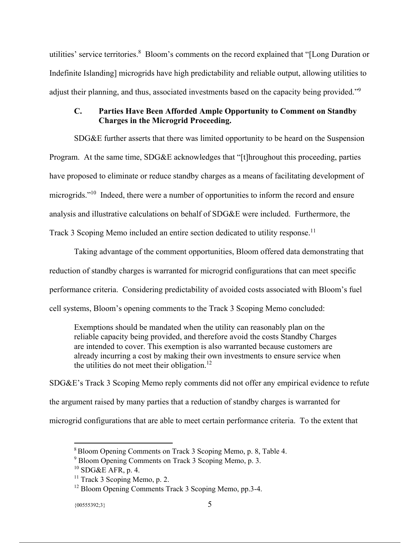utilities' service territories.<sup>8</sup> Bloom's comments on the record explained that "[Long Duration or Indefinite Islanding] microgrids have high predictability and reliable output, allowing utilities to adjust their planning, and thus, associated investments based on the capacity being provided."<sup>9</sup>

#### **C. Parties Have Been Afforded Ample Opportunity to Comment on Standby Charges in the Microgrid Proceeding.**

SDG&E further asserts that there was limited opportunity to be heard on the Suspension Program. At the same time, SDG&E acknowledges that "[t]hroughout this proceeding, parties have proposed to eliminate or reduce standby charges as a means of facilitating development of microgrids."<sup>10</sup> Indeed, there were a number of opportunities to inform the record and ensure analysis and illustrative calculations on behalf of SDG&E were included. Furthermore, the Track 3 Scoping Memo included an entire section dedicated to utility response.<sup>11</sup>

Taking advantage of the comment opportunities, Bloom offered data demonstrating that reduction of standby charges is warranted for microgrid configurations that can meet specific performance criteria. Considering predictability of avoided costs associated with Bloom's fuel cell systems, Bloom's opening comments to the Track 3 Scoping Memo concluded:

Exemptions should be mandated when the utility can reasonably plan on the reliable capacity being provided, and therefore avoid the costs Standby Charges are intended to cover. This exemption is also warranted because customers are already incurring a cost by making their own investments to ensure service when the utilities do not meet their obligation.<sup>12</sup>

SDG&E's Track 3 Scoping Memo reply comments did not offer any empirical evidence to refute the argument raised by many parties that a reduction of standby charges is warranted for microgrid configurations that are able to meet certain performance criteria. To the extent that

#### $\{00555392;3\}$  5

<sup>&</sup>lt;sup>8</sup> Bloom Opening Comments on Track 3 Scoping Memo, p. 8, Table 4.

<sup>9</sup> Bloom Opening Comments on Track 3 Scoping Memo, p. 3.

 $10$  SDG&E AFR, p. 4.

 $11$  Track 3 Scoping Memo, p. 2.

<sup>&</sup>lt;sup>12</sup> Bloom Opening Comments Track 3 Scoping Memo, pp.3-4.